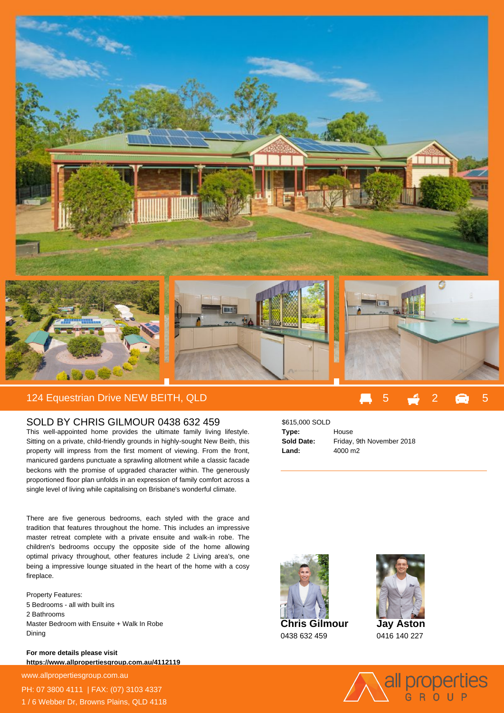

## 124 Equestrian Drive NEW BEITH, QLD 5 2 5

## SOLD BY CHRIS GILMOUR 0438 632 459

This well-appointed home provides the ultimate family living lifestyle. Sitting on a private, child-friendly grounds in highly-sought New Beith, this property will impress from the first moment of viewing. From the front, manicured gardens punctuate a sprawling allotment while a classic facade beckons with the promise of upgraded character within. The generously proportioned floor plan unfolds in an expression of family comfort across a single level of living while capitalising on Brisbane's wonderful climate.

There are five generous bedrooms, each styled with the grace and tradition that features throughout the home. This includes an impressive master retreat complete with a private ensuite and walk-in robe. The children's bedrooms occupy the opposite side of the home allowing optimal privacy throughout, other features include 2 Living area's, one being a impressive lounge situated in the heart of the home with a cosy fireplace.

Property Features: 5 Bedrooms - all with built ins 2 Bathrooms Master Bedroom with Ensuite + Walk In Robe Dining

**For more details please visit https://www.allpropertiesgroup.com.au/4112119**

www.allpropertiesgroup.com.au PH: 07 3800 4111 | FAX: (07) 3103 4337 1 / 6 Webber Dr, Browns Plains, QLD 4118

## \$615,000 SOLD **Type:** House **Sold Date:** Friday, 9th November 2018 **Land:** 4000 m2



0438 632 459



0416 140 227